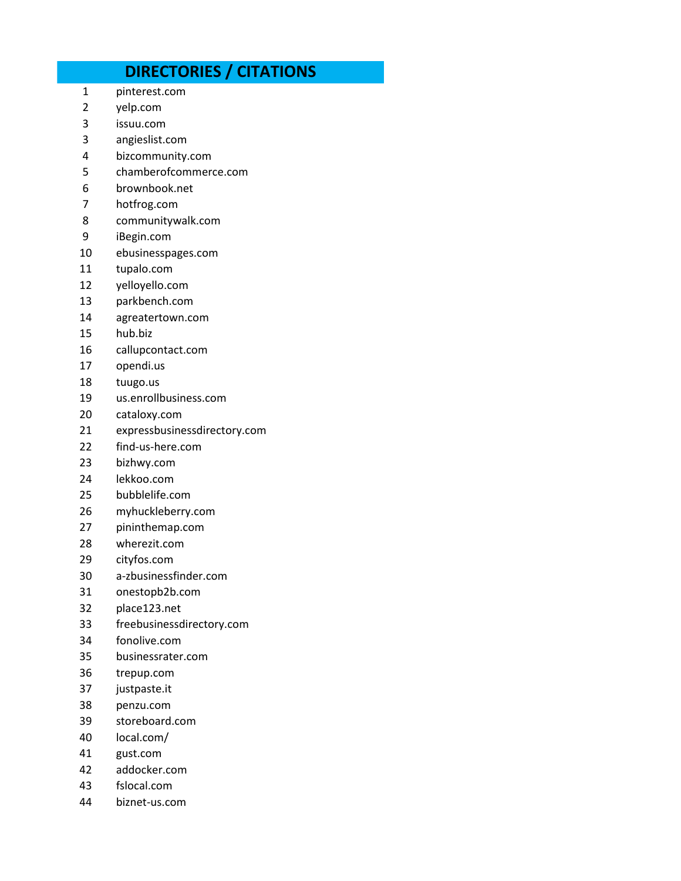## **DIRECTORIES / CITATIONS**

- pinterest.com
- yelp.com
- issuu.com
- angieslist.com
- bizcommunity.com
- chamberofcommerce.com
- brownbook.net
- hotfrog.com
- communitywalk.com
- iBegin.com
- ebusinesspages.com
- tupalo.com
- yelloyello.com
- parkbench.com
- agreatertown.com
- hub.biz
- callupcontact.com
- opendi.us
- tuugo.us
- us.enrollbusiness.com
- cataloxy.com
- expressbusinessdirectory.com
- find-us-here.com
- bizhwy.com
- lekkoo.com
- bubblelife.com
- myhuckleberry.com
- pininthemap.com
- wherezit.com
- cityfos.com
- a-zbusinessfinder.com
- onestopb2b.com
- place123.net
- freebusinessdirectory.com
- fonolive.com
- businessrater.com
- trepup.com
- justpaste.it
- penzu.com
- storeboard.com
- local.com/
- gust.com
- addocker.com
- fslocal.com
- biznet-us.com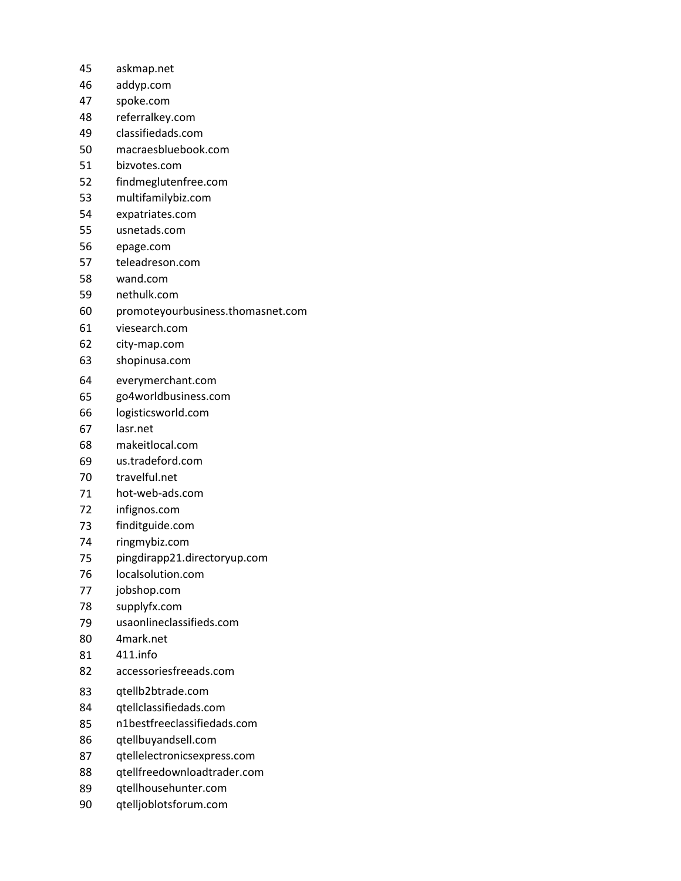- askmap.net
- addyp.com
- spoke.com
- referralkey.com
- classifiedads.com
- macraesbluebook.com
- bizvotes.com
- findmeglutenfree.com
- multifamilybiz.com
- expatriates.com
- usnetads.com
- epage.com
- teleadreson.com
- wand.com
- nethulk.com
- promoteyourbusiness.thomasnet.com
- viesearch.com
- city-map.com
- shopinusa.com
- everymerchant.com
- go4worldbusiness.com
- logisticsworld.com
- lasr.net
- makeitlocal.com
- us.tradeford.com
- travelful.net
- hot-web-ads.com
- infignos.com
- finditguide.com
- ringmybiz.com
- pingdirapp21.directoryup.com
- localsolution.com
- jobshop.com
- supplyfx.com
- usaonlineclassifieds.com
- 4mark.net
- 411.info
- accessoriesfreeads.com
- qtellb2btrade.com
- qtellclassifiedads.com
- n1bestfreeclassifiedads.com
- qtellbuyandsell.com
- qtellelectronicsexpress.com
- qtellfreedownloadtrader.com
- qtellhousehunter.com
- qtelljoblotsforum.com